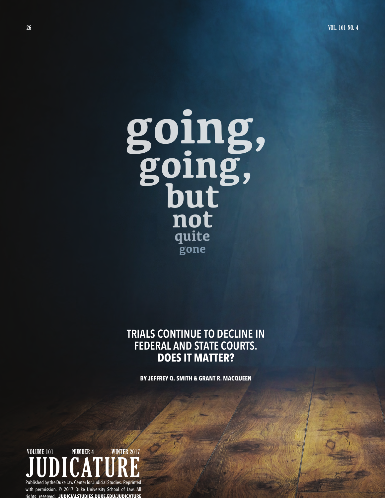# **going, going, but not quite gone**

# **TRIALS CONTINUE TO DECLINE IN FEDERAL AND STATE COURTS. DOES IT MATTER?**

**BY JEFFREY Q. SMITH & GRANT R. MACQUEEN**



with permission. © 2017 Duke University School of Law. All rights reserved. **JUDICIALSTUDIES.DUKE.EDU/JUDICATURE**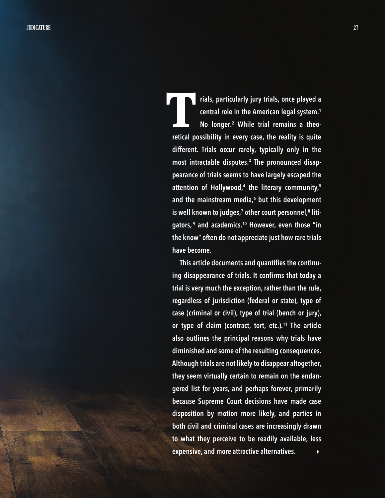**rials, particularly jury trials, once played a central role in the American legal system.1 No longer.2 While trial remains a theoretical possibility in every case, the reality is quite different. Trials occur rarely, typically only in the most intractable disputes.3 The pronounced disappearance of trials seems to have largely escaped the attention of Hollywood,4 the literary community,5 and the mainstream media,6 but this development**  is well known to judges,<sup>7</sup> other court personnel,<sup>8</sup> liti**gators, 9 and academics.10 However, even those "in the know" often do not appreciate just how rare trials have become. T** 

4 **This article documents and quantifies the continuing disappearance of trials. It confirms that today a trial is very much the exception, rather than the rule, regardless of jurisdiction (federal or state), type of case (criminal or civil), type of trial (bench or jury), or type of claim (contract, tort, etc.).11 The article also outlines the principal reasons why trials have diminished and some of the resulting consequences. Although trials are not likely to disappear altogether, they seem virtually certain to remain on the endangered list for years, and perhaps forever, primarily because Supreme Court decisions have made case disposition by motion more likely, and parties in both civil and criminal cases are increasingly drawn to what they perceive to be readily available, less expensive, and more attractive alternatives.**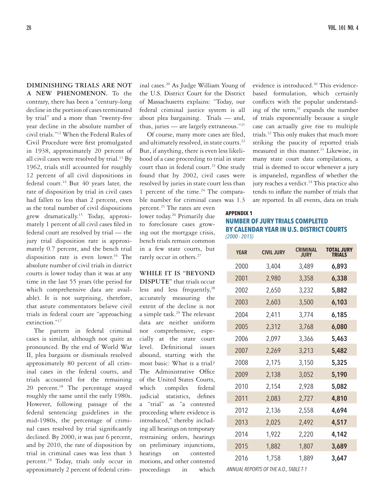**DIMINISHING TRIALS ARE NOT A NEW PHENOMENON.** To the contrary, there has been a "century-long decline in the portion of cases terminated by trial" and a more than "twenty-five year decline in the absolute number of civil trials."12 When the Federal Rules of Civil Procedure were first promulgated in 1938, approximately 20 percent of all civil cases were resolved by trial.<sup>13</sup> By 1962, trials still accounted for roughly 12 percent of all civil dispositions in federal court.<sup>14</sup> But 40 years later, the rate of disposition by trial in civil cases had fallen to less than 2 percent, even as the total number of civil dispositions grew dramatically.15 Today, approximately 1 percent of all civil cases filed in federal court are resolved by trial — the jury trial disposition rate is approximately 0.7 percent, and the bench trial disposition rate is even lower.<sup>16</sup> The absolute number of civil trials in district courts is lower today than it was at any time in the last 55 years (the period for which comprehensive data are available). It is not surprising, therefore, that astute commentators believe civil trials in federal court are "approaching extinction."<sup>17</sup>

The pattern in federal criminal cases is similar, although not quite as pronounced. By the end of World War II, plea bargains or dismissals resolved approximately 80 percent of all criminal cases in the federal courts, and trials accounted for the remaining 20 percent.<sup>18</sup> The percentage stayed roughly the same until the early 1980s. However, following passage of the federal sentencing guidelines in the mid-1980s, the percentage of criminal cases resolved by trial significantly declined. By 2000, it was just 6 percent, and by 2010, the rate of disposition by trial in criminal cases was less than 3 percent.<sup>19</sup> Today, trials only occur in approximately 2 percent of federal criminal cases.20 As Judge William Young of the U.S. District Court for the District of Massachusetts explains: "Today, our federal criminal justice system is all about plea bargaining. Trials — and, thus, juries — are largely extraneous."21

Of course, many more cases are filed, and ultimately resolved, in state courts.<sup>22</sup> But, if anything, there is even less likelihood of a case proceeding to trial in state court than in federal court.<sup>23</sup> One study found that by 2002, civil cases were resolved by juries in state court less than 1 percent of the time. $24$  The comparable number for criminal cases was 1.3

percent.<sup>25</sup> The rates are even lower today.<sup>26</sup> Primarily due to foreclosure cases growing out the mortgage crisis, bench trials remain common in a few state courts, but rarely occur in others.<sup>27</sup>

**WHILE IT IS "BEYOND DISPUTE"** that trials occur less and less frequently,<sup>28</sup> accurately measuring the extent of the decline is not a simple task.29 The relevant data are neither uniform nor comprehensive, especially at the state court level. Definitional issues abound, starting with the most basic: What is a trial? The Administrative Office of the United States Courts, which compiles federal judicial statistics, defines a "trial" as "a contested proceeding where evidence is introduced," thereby including all hearings on temporary restraining orders, hearings on preliminary injunctions, hearings on contested motions, and other contested proceedings in which evidence is introduced.<sup>30</sup> This evidencebased formulation, which certainly conflicts with the popular understanding of the term, $31$  expands the number of trials exponentially because a single case can actually give rise to multiple trials.32 This only makes that much more striking the paucity of reported trials measured in this manner.<sup>33</sup> Likewise, in many state court data compilations, a trial is deemed to occur whenever a jury is impaneled, regardless of whether the jury reaches a verdict.<sup>34</sup> This practice also tends to inflate the number of trials that are reported. In all events, data on trials

# **APPENDIX 1 NUMBER OF JURY TRIALS COMPLETED BY CALENDAR YEAR IN U.S. DISTRICT COURTS**  *(2000 - 2015)*

| <b>YEAR</b> | <b>CIVIL JURY</b> | <b>CRIMINAL</b><br><b>JURY</b> | TOTAL JURY<br><b>TRIALS</b> |
|-------------|-------------------|--------------------------------|-----------------------------|
| 2000        | 3,404             | 3,489                          | 6,893                       |
| 2001        | 2,980             | 3,358                          | 6,338                       |
| 2002        | 2,650             | 3,232                          | 5,882                       |
| 2003        | 2,603             | 3,500                          | 6,103                       |
| 2004        | 2,411             | 3,774                          | 6,185                       |
| 2005        | 2,312             | 3,768                          | 6,080                       |
| 2006        | 2,097             | 3,366                          | 5,463                       |
| 2007        | 2,269             | 3,213                          | 5,482                       |
| 2008        | 2,175             | 3,150                          | 5,325                       |
| 2009        | 2,138             | 3,052                          | 5,190                       |
| 2010        | 2,154             | 2,928                          | 5,082                       |
| 2011        | 2,083             | 2,727                          | 4,810                       |
| 2012        | 2,136             | 2,558                          | 4,694                       |
| 2013        | 2,025             | 2,492                          | 4,517                       |
| 2014        | 1,922             | 2,220                          | 4,142                       |
| 2015        | 1,882             | 1,807                          | 3,689                       |
| 2016        | 1,758             | 1,889                          | 3,647                       |

 *ANNUAL REPORTS OF THE A.O., TABLE T-1*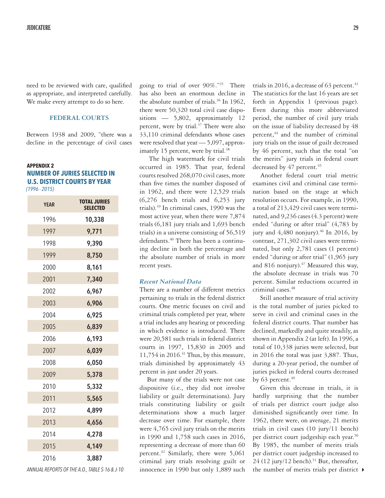need to be reviewed with care, qualified as appropriate, and interpreted carefully. We make every attempt to do so here.

## **FEDERAL COURTS**

Between 1938 and 2009, "there was a decline in the percentage of civil cases

# **APPENDIX 2 NUMBER OF JURIES SELECTED IN U.S. DISTRICT COURTS BY YEAR**   *(1996 - 2015)*

| <b>YEAR</b> | <b>TOTAL JURIES</b><br>SELECTED |
|-------------|---------------------------------|
| 1996        | 10,338                          |
| 1997        | 9,771                           |
| 1998        | 9,390                           |
| 1999        | 8,750                           |
| 2000        | 8,161                           |
| 2001        | 7,340                           |
| 2002        | 6,967                           |
| 2003        | 6,906                           |
| 2004        | 6,925                           |
| 2005        | 6,839                           |
| 2006        | 6,193                           |
| 2007        | 6,039                           |
| 2008        | 6,050                           |
| 2009        | 5,378                           |
| 2010        | 5,332                           |
| 2011        | 5,565                           |
| 2012        | 4,899                           |
| 2013        | 4,656                           |
| 2014        | 4,278                           |
| 2015        | 4,149                           |
| 2016        | 3,887                           |

going to trial of over 90%."35 There has also been an enormous decline in the absolute number of trials.<sup>36</sup> In 1962, there were 50,320 total civil case dispositions — 5,802, approximately 12 percent, were by trial.<sup>37</sup> There were also 33,110 criminal defendants whose cases were resolved that year — 5,097, approximately 15 percent, were by trial.<sup>38</sup>

The high watermark for civil trials occurred in 1985. That year, federal courts resolved 268,070 civil cases, more than five times the number disposed of in 1962, and there were 12,529 trials (6,276 bench trials and 6,253 jury trials).39 In criminal cases, 1990 was the most active year, when there were 7,874 trials (6,181 jury trials and 1,693 bench trials) in a universe consisting of 56,519 defendants.<sup>40</sup> There has been a continuing decline in both the percentage and the absolute number of trials in more recent years.

#### *Recent National Data*

There are a number of different metrics pertaining to trials in the federal district courts. One metric focuses on civil and criminal trials completed per year, where a trial includes any hearing or proceeding in which evidence is introduced. There were 20,581 such trials in federal district courts in 1997, 15,830 in 2005 and 11,754 in 2016. $41$  Thus, by this measure, trials diminished by approximately 43 percent in just under 20 years.

But many of the trials were not case dispositive (i.e., they did not involve liability or guilt determinations). Jury trials constituting liability or guilt determinations show a much larger decrease over time. For example, there were 4,765 civil jury trials on the merits in 1990 and 1,758 such cases in 2016, representing a decrease of more than 60 percent.<sup>42</sup> Similarly, there were 5,061 criminal jury trials resolving guilt or innocence in 1990 but only 1,889 such

trials in 2016, a decrease of 63 percent. $43$ The statistics for the last 16 years are set forth in Appendix 1 (previous page). Even during this more abbreviated period, the number of civil jury trials on the issue of liability decreased by 48 percent,<sup>44</sup> and the number of criminal jury trials on the issue of guilt decreased by 46 percent, such that the total "on the merits" jury trials in federal court decreased by 47 percent.<sup>45</sup>

Another federal court trial metric examines civil and criminal case termination based on the stage at which resolution occurs. For example, in 1990, a total of 213,429 civil cases were terminated, and 9,236 cases (4.3 percent) were ended "during or after trial" (4,783 by jury and  $4,480$  nonjury).<sup>46</sup> In 2016, by contrast, 271,302 civil cases were terminated, but only 2,781 cases (1 percent) ended "during or after trial" (1,965 jury and 816 nonjury). $47$  Measured this way, the absolute decrease in trials was 70 percent. Similar reductions occurred in criminal cases.<sup>48</sup>

Still another measure of trial activity is the total number of juries picked to serve in civil and criminal cases in the federal district courts. That number has declined, markedly and quite steadily, as shown in Appendix 2 (at left). In 1996, a total of 10,338 juries were selected, but in 2016 the total was just 3,887. Thus, during a 20-year period, the number of juries picked in federal courts decreased by 63 percent. $49$ 

Given this decrease in trials, it is hardly surprising that the number of trials per district court judge also diminished significantly over time. In 1962, there were, on average, 21 merits trials in civil cases (10 jury/11 bench) per district court judgeship each year.<sup>50</sup> By 1985, the number of merits trials per district court judgeship increased to  $24$  (12 jury/12 bench).<sup>51</sup> But, thereafter, ANNUAL REPORTS OF THE A.O., TABLE S-16 & J-10 innocence in 1990 but only 1,889 such the number of merits trials per district ▶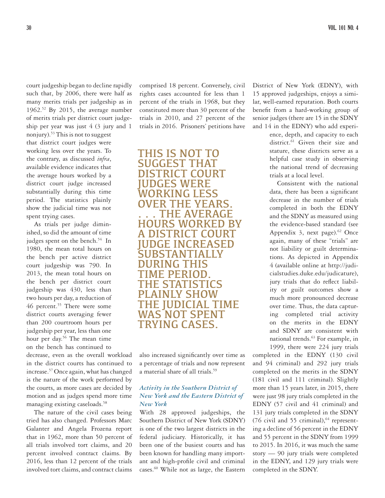court judgeship began to decline rapidly such that, by 2006, there were half as many merits trials per judgeship as in  $1962.^{52}$  By 2015, the average number of merits trials per district court judgeship per year was just  $4(3)$  jury and 1

nonjury).53 This is not to suggest that district court judges were working less over the years. To the contrary, as discussed *infra*, available evidence indicates that the average hours worked by a district court judge increased substantially during this time period. The statistics plainly show the judicial time was not spent trying cases.

As trials per judge diminished, so did the amount of time judges spent on the bench.<sup>54</sup> In 1980, the mean total hours on the bench per active district court judgeship was 790. In 2013, the mean total hours on the bench per district court judgeship was 430, less than two hours per day, a reduction of 46 percent.<sup>55</sup> There were some district courts averaging fewer than 200 courtroom hours per judgeship per year, less than one hour per day.<sup>56</sup> The mean time on the bench has continued to

decrease, even as the overall workload in the district courts has continued to increase.57 Once again, what has changed is the nature of the work performed by the courts, as more cases are decided by motion and as judges spend more time managing existing caseloads.<sup>58</sup>

The nature of the civil cases being tried has also changed. Professors Marc Galanter and Angela Frozena report that in 1962, more than 50 percent of all trials involved tort claims, and 20 percent involved contract claims. By 2016, less than 12 percent of the trials involved tort claims, and contract claims comprised 18 percent. Conversely, civil rights cases accounted for less than 1 percent of the trials in 1968, but they constituted more than 30 percent of the trials in 2010, and 27 percent of the trials in 2016. Prisoners' petitions have

THIS IS NOT TO SUGGEST THAT DISTRICT COURT JUDGES WERE WORKING LESS OVER THE YEARS. THE AVERAGE HOURS WORKED BY DISTRICT COURT JUDGE INCREASED SUBSTANTI JRING THIS ME PERIOD. THE STATISTICS PLAINLY SHOW THE JUDICIAL TIME WAS NOT SPENT TRYING CASES.

also increased significantly over time as a percentage of trials and now represent a material share of all trials.<sup>59</sup>

# *Activity in the Southern District of New York and the Eastern District of New York*

With 28 approved judgeships, the Southern District of New York (SDNY) is one of the two largest districts in the federal judiciary. Historically, it has been one of the busiest courts and has been known for handling many important and high-profile civil and criminal cases.60 While not as large, the Eastern

District of New York (EDNY), with 15 approved judgeships, enjoys a similar, well-earned reputation. Both courts benefit from a hard-working group of senior judges (there are 15 in the SDNY and 14 in the EDNY) who add experi-

> ence, depth, and capacity to each district.<sup>61</sup> Given their size and stature, these districts serve as a helpful case study in observing the national trend of decreasing trials at a local level.

> Consistent with the national data, there has been a significant decrease in the number of trials completed in both the EDNY and the SDNY as measured using the evidence-based standard (see Appendix 3, next page). $62$  Once again, many of these "trials" are not liability or guilt determinations. As depicted in Appendix 4 (available online at http://judicialstudies.duke.edu/judicature), jury trials that do reflect liability or guilt outcomes show a much more pronounced decrease over time. Thus, the data capturing completed trial activity on the merits in the EDNY and SDNY are consistent with national trends.63 For example, in 1999, there were 224 jury trials

completed in the EDNY (130 civil and 94 criminal) and 292 jury trials completed on the merits in the SDNY (181 civil and 111 criminal). Slightly more than 15 years later, in 2015, there were just 98 jury trials completed in the EDNY (57 civil and 41 criminal) and 131 jury trials completed in the SDNY (76 civil and 55 criminal), $64$  representing a decline of 56 percent in the EDNY and 55 percent in the SDNY from 1999 to 2015. In 2016, it was much the same story — 90 jury trials were completed in the EDNY, and 129 jury trials were completed in the SDNY.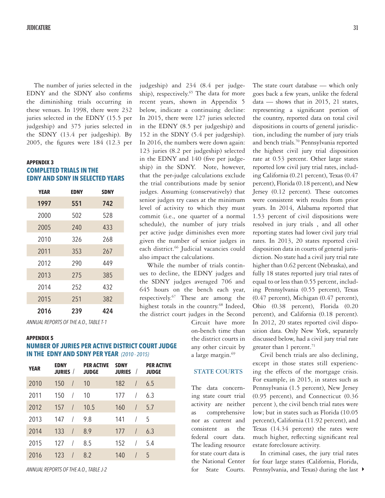The number of juries selected in the EDNY and the SDNY also confirms the diminishing trials occurring in these venues. In 1998, there were 232 juries selected in the EDNY (15.5 per judgeship) and 375 juries selected in the SDNY (13.4 per judgeship). By 2005, the figures were 184 (12.3 per

# **APPENDIX 3 COMPLETED TRIALS IN THE EDNY AND SDNY IN SELECTED YEARS**

| <b>YEAR</b> | <b>EDNY</b> | <b>SDNY</b> |
|-------------|-------------|-------------|
| 1997        | 551         | 742         |
| 2000        | 502         | 528         |
| 2005        | 240         | 433         |
| 2010        | 326         | 268         |
| 2011        | 353         | 267         |
| 2012        | 290         | 449         |
| 2013        | 275         | 385         |
| 2014        | 252         | 432         |
| 2015        | 251         | 382         |
| 2016        | 239         | 424         |

*ANNUAL REPORTS OF THE A.O., TABLE T-1*

#### **APPENDIX 5**

# **NUMBER OF JURIES PER ACTIVE DISTRICT COURT JUDGE IN THE EDNY AND SDNY PER YEAR** *(2010 - 2015)*

| <b>YEAR</b> | <b>EDNY</b><br><b>JURIES</b> / | <b>PER ACTIVE</b><br><b>JUDGE</b> | <b>SDNY</b><br><b>JURIES</b> | $\sqrt{ }$     | <b>PER ACTIVE</b><br><b>JUDGE</b> |
|-------------|--------------------------------|-----------------------------------|------------------------------|----------------|-----------------------------------|
| 2010        | 150<br>$\sqrt{2}$              | 10                                | 182                          | $\sqrt{ }$     | 6.5                               |
| 2011        | 150<br>$\overline{1}$          | 10                                | 177                          | $\overline{I}$ | 6.3                               |
| 2012        | 157<br>$\sqrt{ }$              | 10.5                              | 160                          | $\sqrt{ }$     | 5.7                               |
| 2013        | 147<br>$\prime$                | 9.8                               | 141                          | I              | 5                                 |
| 2014        | 133<br>$\sqrt{2}$              | 8.9                               | 177                          | $\sqrt{ }$     | 6.3                               |
| 2015        | 127                            | 8.5                               | 152                          | $\prime$       | 5.4                               |
| 2016        | 123                            | 8.2                               | 140                          | $\prime$       | 5                                 |

judgeship) and 234 (8.4 per judgeship), respectively.<sup>65</sup> The data for more recent years, shown in Appendix 5 below, indicate a continuing decline: In 2015, there were 127 juries selected in the EDNY (8.5 per judgeship) and 152 in the SDNY (5.4 per judgeship). In 2016, the numbers were down again: 123 juries (8.2 per judgeship) selected in the EDNY and 140 (five per judgeship) in the SDNY. Note, however, that the per-judge calculations exclude the trial contributions made by senior judges. Assuming (conservatively) that senior judges try cases at the minimum level of activity to which they must commit (i.e., one quarter of a normal schedule), the number of jury trials per active judge diminishes even more given the number of senior judges in each district.<sup>66</sup> Judicial vacancies could also impact the calculations.

While the number of trials continues to decline, the EDNY judges and the SDNY judges averaged 706 and 645 hours on the bench each year, respectively. $67$  These are among the highest totals in the country.<sup>68</sup> Indeed, the district court judges in the Second

Circuit have more on-bench time than the district courts in any other circuit by a large margin.<sup>69</sup>

# **STATE COURTS**

The data concerning state court trial activity are neither as comprehensive nor as current and consistent as the federal court data. The leading resource for state court data is the National Center for State Courts.

The state court database — which only goes back a few years, unlike the federal data — shows that in 2015, 21 states, representing a significant portion of the country, reported data on total civil dispositions in courts of general jurisdiction, including the number of jury trials and bench trials.70 Pennsylvania reported the highest civil jury trial disposition rate at 0.53 percent. Other large states reported low civil jury trial rates, including California (0.21 percent), Texas (0.47 percent), Florida (0.18 percent), and New Jersey (0.12 percent). These outcomes were consistent with results from prior years. In 2014, Alabama reported that 1.53 percent of civil dispositions were resolved in jury trials , and all other reporting states had lower civil jury trial rates. In 2013, 20 states reported civil disposition data in courts of general jurisdiction. No state had a civil jury trial rate higher than 0.62 percent (Nebraska), and fully 18 states reported jury trial rates of equal to or less than 0.55 percent, including Pennsylvania (0.55 percent), Texas (0.47 percent), Michigan (0.47 percent), Ohio (0.38 percent), Florida (0.20 percent), and California (0.18 percent). In 2012, 20 states reported civil disposition data. Only New York, separately discussed below, had a civil jury trial rate greater than 1 percent.<sup>71</sup>

Civil bench trials are also declining, except in those states still experiencing the effects of the mortgage crisis. For example, in 2015, in states such as Pennsylvania (1.5 percent), New Jersey (0.95 percent), and Connecticut (0.36 percent ), the civil bench trial rates were low; but in states such as Florida (10.05 percent), California (11.92 percent), and Texas (14.34 percent) the rates were much higher, reflecting significant real estate foreclosure activity.

Pennsylvania, and Texas) during the last  $\blacktriangleright$ In criminal cases, the jury trial rates for four large states (California, Florida,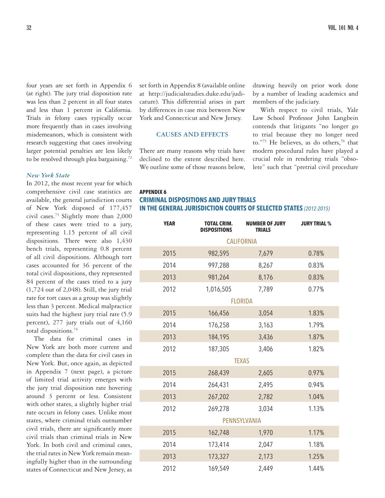four years are set forth in Appendix 6 (at right). The jury trial disposition rate was less than 2 percent in all four states and less than 1 percent in California. Trials in felony cases typically occur more frequently than in cases involving misdemeanors, which is consistent with research suggesting that cases involving larger potential penalties are less likely to be resolved through plea bargaining.<sup>72</sup>

#### *New York State*

In 2012, the most recent year for which comprehensive civil case statistics are available, the general jurisdiction courts of New York disposed of 177,457 civil cases.73 Slightly more than 2,000 of these cases were tried to a jury, representing 1.15 percent of all civil dispositions. There were also 1,430 bench trials, representing 0.8 percent of all civil dispositions. Although tort cases accounted for 36 percent of the total civil dispositions, they represented 84 percent of the cases tried to a jury (1,724 out of 2,048). Still, the jury trial rate for tort cases as a group was slightly less than 3 percent. Medical malpractice suits had the highest jury trial rate (5.9 percent), 277 jury trials out of 4,160 total dispositions.74

The data for criminal cases in New York are both more current and complete than the data for civil cases in New York. But, once again, as depicted in Appendix 7 (next page), a picture of limited trial activity emerges with the jury trial disposition rate hovering around 3 percent or less. Consistent with other states, a slightly higher trial rate occurs in felony cases. Unlike most states, where criminal trials outnumber civil trials, there are significantly more civil trials than criminal trials in New York. In both civil and criminal cases, the trial rates in New York remain meaningfully higher than in the surrounding states of Connecticut and New Jersey, as

set forth in Appendix 8 (available online at http://judicialstudies.duke.edu/judicature). This differential arises in part by differences in case mix between New York and Connecticut and New Jersey.

#### **CAUSES AND EFFECTS**

There are many reasons why trials have declined to the extent described here. We outline some of those reasons below.

drawing heavily on prior work done by a number of leading academics and members of the judiciary.

With respect to civil trials, Yale Law School Professor John Langbein contends that litigants "no longer go to trial because they no longer need to."<sup>75</sup> He believes, as do others,<sup>76</sup> that modern procedural rules have played a crucial role in rendering trials "obsolete" such that "pretrial civil procedure

## **APPENDIX 6 CRIMINAL DISPOSITIONS AND JURY TRIALS IN THE GENERAL JURISDICTION COURTS OF SELECTED STATES** *(2012-2015)*

| <b>YEAR</b>         | <b>TOTAL CRIM.</b><br><b>DISPOSITIONS</b> | <b>NUMBER OF JURY</b><br><b>TRIALS</b> | <b>JURY TRIAL %</b> |  |  |  |  |
|---------------------|-------------------------------------------|----------------------------------------|---------------------|--|--|--|--|
| <b>CALIFORNIA</b>   |                                           |                                        |                     |  |  |  |  |
| 2015                | 982,595                                   | 7,679                                  | 0.78%               |  |  |  |  |
| 2014                | 997,288                                   | 8,267                                  | 0.83%               |  |  |  |  |
| 2013                | 981,264                                   | 8,176                                  | 0.83%               |  |  |  |  |
| 2012                | 1,016,505                                 | 7,789                                  | 0.77%               |  |  |  |  |
|                     |                                           | <b>FLORIDA</b>                         |                     |  |  |  |  |
| 2015                | 166,456                                   | 3,054                                  | 1.83%               |  |  |  |  |
| 2014                | 176,258                                   | 3,163                                  | 1.79%               |  |  |  |  |
| 2013                | 184,195                                   | 3,436                                  | 1.87%               |  |  |  |  |
| 2012                | 187,305                                   | 3,406                                  | 1.82%               |  |  |  |  |
|                     |                                           | <b>TEXAS</b>                           |                     |  |  |  |  |
| 2015                | 268,439                                   | 2,605                                  | 0.97%               |  |  |  |  |
| 2014                | 264,431                                   | 2,495                                  | 0.94%               |  |  |  |  |
| 2013                | 267,202                                   | 2,782                                  | 1.04%               |  |  |  |  |
| 2012                | 269,278                                   | 3,034                                  | 1.13%               |  |  |  |  |
| <b>PENNSYLVANIA</b> |                                           |                                        |                     |  |  |  |  |
| 2015                | 162,748                                   | 1,970                                  | 1.17%               |  |  |  |  |
| 2014                | 173,414                                   | 2,047                                  | 1.18%               |  |  |  |  |
| 2013                | 173,327                                   | 2,173                                  | 1.25%               |  |  |  |  |
| 2012                | 169,549                                   | 2,449                                  | 1.44%               |  |  |  |  |
|                     |                                           |                                        |                     |  |  |  |  |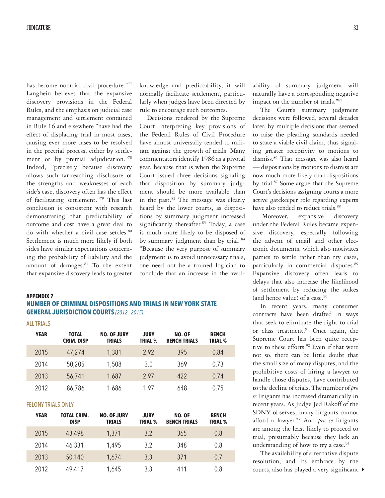has become nontrial civil procedure."77 Langbein believes that the expansive discovery provisions in the Federal Rules, and the emphasis on judicial case management and settlement contained in Rule 16 and elsewhere "have had the effect of displacing trial in most cases, causing ever more cases to be resolved in the pretrial process, either by settlement or by pretrial adjudication."78 Indeed, "precisely because discovery allows such far-reaching disclosure of the strengths and weaknesses of each side's case, discovery often has the effect of facilitating settlement."79 This last conclusion is consistent with research demonstrating that predictability of outcome and cost have a great deal to do with whether a civil case settles.<sup>80</sup> Settlement is much more likely if both sides have similar expectations concerning the probability of liability and the amount of damages.<sup>81</sup> To the extent that expansive discovery leads to greater

knowledge and predictability, it will normally facilitate settlement, particularly when judges have been directed by rule to encourage such outcomes.

Decisions rendered by the Supreme Court interpreting key provisions of the Federal Rules of Civil Procedure have almost universally tended to militate against the growth of trials. Many commentators identify 1986 as a pivotal year, because that is when the Supreme Court issued three decisions signaling that disposition by summary judgment should be more available than in the past. $82$  The message was clearly heard by the lower courts, as dispositions by summary judgment increased significantly thereafter.<sup>83</sup> Today, a case is much more likely to be disposed of by summary judgment than by trial. <sup>84</sup> "Because the very purpose of summary judgment is to avoid unnecessary trials, one need not be a trained logician to conclude that an increase in the avail-

#### **APPENDIX 7**

# **NUMBER OF CRIMINAL DISPOSITIONS AND TRIALS IN NEW YORK STATE GENERAL JURISDICTION COURTS** *(2012 - 2015)*

ALL TRIALS

| <b>YEAR</b> | <b>TOTAL</b><br><b>CRIM. DISP</b> | <b>NO. OF JURY</b><br><b>TRIALS</b> | <b>JURY</b><br><b>TRIAL %</b> | <b>NO. OF</b><br><b>BENCH TRIALS</b> | <b>BENCH</b><br><b>TRIAL %</b> |
|-------------|-----------------------------------|-------------------------------------|-------------------------------|--------------------------------------|--------------------------------|
| 2015        | 47,274                            | 1,381                               | 2.92                          | 395                                  | 0.84                           |
| 2014        | 50,205                            | 1,508                               | 3.0                           | 369                                  | 0.73                           |
| 2013        | 56,741                            | 1.687                               | 2.97                          | 422                                  | 0.74                           |
| 2012        | 86,786                            | 1.686                               | 1 97                          | 648                                  | 0.75                           |

#### FELONY TRIALS ONLY

| <b>YEAR</b> | <b>TOTAL CRIM.</b><br><b>DISP</b> | <b>NO. OF JURY</b><br><b>TRIALS</b> | <b>JURY</b><br><b>TRIAL %</b> | <b>NO. OF</b><br><b>BENCH TRIALS</b> | <b>BENCH</b><br><b>TRIAL %</b> |
|-------------|-----------------------------------|-------------------------------------|-------------------------------|--------------------------------------|--------------------------------|
| 2015        | 43,498                            | 1,371                               | 3.2                           | 365                                  | 0.8                            |
| 2014        | 46,331                            | 1,495                               | 3.2                           | 348                                  | 0.8                            |
| 2013        | 50,140                            | 1,674                               | 3.3                           | 371                                  | 0.7                            |
| 2012        | 49,417                            | 1,645                               | 3.3                           | 411                                  | 0.8                            |

ability of summary judgment will naturally have a corresponding negative impact on the number of trials."85

The Court's summary judgment decisions were followed, several decades later, by multiple decisions that seemed to raise the pleading standards needed to state a viable civil claim, thus signaling greater receptivity to motions to dismiss.<sup>86</sup> That message was also heard — dispositions by motions to dismiss are now much more likely than dispositions by trial.87 Some argue that the Supreme Court's decisions assigning courts a more active gatekeeper role regarding experts have also tended to reduce trials.<sup>88</sup>

Moreover, expansive discovery under the Federal Rules became expensive discovery, especially following the advent of email and other electronic documents, which also motivates parties to settle rather than try cases, particularly in commercial disputes.89 Expansive discovery often leads to delays that also increase the likelihood of settlement by reducing the stakes (and hence value) of a case.<sup>90</sup>

In recent years, many consumer contracts have been drafted in ways that seek to eliminate the right to trial or class treatment.<sup>91</sup> Once again, the Supreme Court has been quite receptive to these efforts.<sup>92</sup> Even if that were not so, there can be little doubt that the small size of many disputes, and the prohibitive costs of hiring a lawyer to handle those disputes, have contributed to the decline of trials. The number of *pro se* litigants has increased dramatically in recent years. As Judge Jed Rakoff of the SDNY observes, many litigants cannot afford a lawyer.93 And *pro se* litigants are among the least likely to proceed to trial, presumably because they lack an understanding of how to try a case. $94$ 

4 courts, also has played a very significant The availability of alternative dispute resolution, and its embrace by the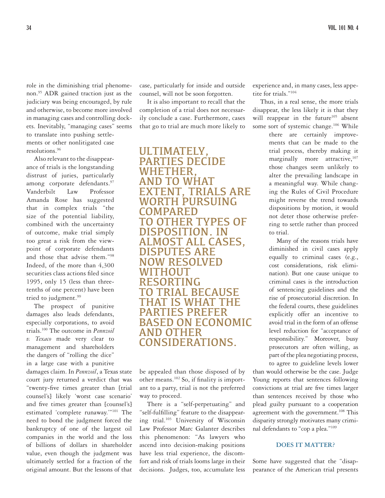role in the diminishing trial phenomenon.95 ADR gained traction just as the judiciary was being encouraged, by rule and otherwise, to become more involved in managing cases and controlling dockets. Inevitably, "managing cases" seems to translate into pushing settlements or other nonlitigated case resolutions.96

Also relevant to the disappearance of trials is the longstanding distrust of juries, particularly among corporate defendants.<sup>97</sup> Vanderbilt Law Professor Amanda Rose has suggested that in complex trials "the size of the potential liability, combined with the uncertainty of outcome, make trial simply too great a risk from the viewpoint of corporate defendants and those that advise them."98 Indeed, of the more than 4,300 securities class actions filed since 1995, only 15 (less than threetenths of one percent) have been tried to judgment.<sup>99</sup>

The prospect of punitive damages also leads defendants, especially corporations, to avoid trials.100 The outcome in *Pennzoil v. Texaco* made very clear to management and shareholders the dangers of "rolling the dice" in a large case with a punitive

damages claim. In *Pennzoil*, a Texas state court jury returned a verdict that was "twenty-five times greater than [trial counsel's] likely 'worst case scenario' and five times greater than [counsel's] estimated 'complete runaway.'"101 The need to bond the judgment forced the bankruptcy of one of the largest oil companies in the world and the loss of billions of dollars in shareholder value, even though the judgment was ultimately settled for a fraction of the original amount. But the lessons of that case, particularly for inside and outside counsel, will not be soon forgotten.

It is also important to recall that the completion of a trial does not necessarily conclude a case. Furthermore, cases that go to trial are much more likely to

ULTIMATELY, PARTIES DECIDE WHETHER, AND TO WHAT ENT, TRIALS ARE WORTH PURSUING COMPARED TO OTHER TYPES OF DISPOSITION. IN ALMOST ALL CASES, ISPUTES ARE NOW RESOLVED WITHOUT RESORTING **TRIAL BECAUSE** THAT IS WHAT THE PARTIES PREFER BASED ON ECONOMIC AND OTHER CONSIDERATIONS.

be appealed than those disposed of by other means.<sup>102</sup> So, if finality is important to a party, trial is not the preferred way to proceed.

There is a "self-perpetuating" and "self-fulfilling" feature to the disappearing trial.103 University of Wisconsin Law Professor Marc Galanter describes this phenomenon: "As lawyers who ascend into decision-making positions have less trial experience, the discomfort and risk of trials looms large in their decisions. Judges, too, accumulate less

experience and, in many cases, less appetite for trials."104

Thus, in a real sense, the more trials disappear, the less likely it is that they will reappear in the future<sup>105</sup> absent some sort of systemic change.<sup>106</sup> While

> there are certainly improvements that can be made to the trial process, thereby making it marginally more attractive, $107$ those changes seem unlikely to alter the prevailing landscape in a meaningful way. While changing the Rules of Civil Procedure might reverse the trend towards dispositions by motion, it would not deter those otherwise preferring to settle rather than proceed to trial.

> Many of the reasons trials have diminished in civil cases apply equally to criminal cases (e.g., cost considerations, risk elimination). But one cause unique to criminal cases is the introduction of sentencing guidelines and the rise of prosecutorial discretion. In the federal courts, these guidelines explicitly offer an incentive to avoid trial in the form of an offense level reduction for "acceptance of responsibility." Moreover, busy prosecutors are often willing, as part of the plea negotiating process, to agree to guideline levels lower

than would otherwise be the case. Judge Young reports that sentences following convictions at trial are five times larger than sentences received by those who plead guilty pursuant to a cooperation agreement with the government.<sup>108</sup> This disparity strongly motivates many criminal defendants to "cop a plea."109

#### **DOES IT MATTER?**

Some have suggested that the "disappearance of the American trial presents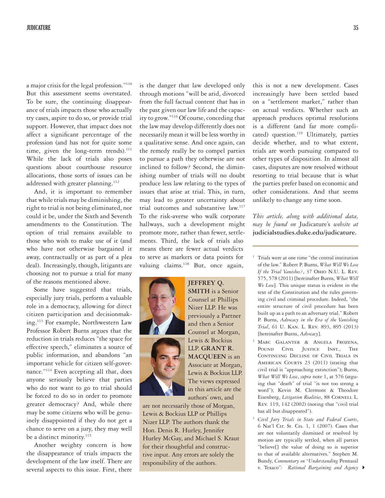a major crisis for the legal profession."110 But this assessment seems overstated. To be sure, the continuing disappearance of trials impacts those who actually try cases, aspire to do so, or provide trial support. However, that impact does not affect a significant percentage of the profession (and has not for quite some time, given the long-term trends). $^{111}$ While the lack of trials also poses questions about courthouse resource allocations, those sorts of issues can be addressed with greater planning.<sup>112</sup>

And, it is important to remember that while trials may be diminishing, the right to trial is not being eliminated, nor could it be, under the Sixth and Seventh amendments to the Constitution. The option of trial remains available to those who wish to make use of it (and who have not otherwise bargained it away, contractually or as part of a plea deal). Increasingly, though, litigants are choosing not to pursue a trial for many of the reasons mentioned above.

Some have suggested that trials, especially jury trials, perform a valuable role in a democracy, allowing for direct citizen participation and decisionmaking.113 For example, Northwestern Law Professor Robert Burns argues that the reduction in trials reduces "the space for effective speech," eliminates a source of public information, and abandons "an important vehicle for citizen self-governance."114 Even accepting all that, does anyone seriously believe that parties who do not want to go to trial should be forced to do so in order to promote greater democracy? And, while there may be some citizens who will be genuinely disappointed if they do not get a chance to serve on a jury, they may well be a distinct minority.<sup>115</sup>

Another weighty concern is how the disappearance of trials impacts the development of the law itself. There are several aspects to this issue. First, there

is the danger that law developed only through motions "will be arid, divorced from the full factual content that has in the past given our law life and the capacity to grow."116 Of course, conceding that the law may develop differently does not necessarily mean it will be less worthy in a qualitative sense. And once again, can the remedy really be to compel parties to pursue a path they otherwise are not inclined to follow? Second, the diminishing number of trials will no doubt produce less law relating to the types of issues that arise at trial. This, in turn, may lead to greater uncertainty about trial outcomes and substantive law.<sup>117</sup> To the risk-averse who walk corporate hallways, such a development might promote more, rather than fewer, settlements. Third, the lack of trials also means there are fewer actual verdicts to serve as markers or data points for valuing claims.<sup>118</sup> But, once again,



**JEFFREY Q. SMITH** is a Senior Counsel at Phillips Nizer LLP. He was previously a Partner and then a Senior Counsel at Morgan, Lewis & Bockius LLP. **GRANT R. MACQUEEN** is an Associate at Morgan, Lewis & Bockius LLP. The views expressed in this article are the authors' own, and

are not necessarily those of Morgan, Lewis & Bockius LLP or Phillips Nizer LLP. The authors thank the Hon. Denis R. Hurley, Jennifer Hurley McGay, and Michael S. Kraut for their thoughtful and constructive input. Any errors are solely the responsibility of the authors.

this is not a new development. Cases increasingly have been settled based on a "settlement market," rather than on actual verdicts. Whether such an approach produces optimal resolutions is a different (and far more complicated) question.<sup>119</sup> Ultimately, parties decide whether, and to what extent, trials are worth pursuing compared to other types of disposition. In almost all cases, disputes are now resolved without resorting to trial because that is what the parties prefer based on economic and other considerations. And that seems unlikely to change any time soon.

*This article, along with additional data, may be found on* Judicature's *website at*  **judicialstudies.duke.edu/judicature.**

- $1$  Trials were at one time "the central institution of the law." Robert P. Burns, *What Will We Lose If the Trial Vanishes?*, 37 Ohio N.U. L. Rev. 575, 578 (2011) [hereinafter Burns, *What Will We Lose*]. This unique status is evident in the text of the Constitution and the rules governing civil and criminal procedure. Indeed, "the entire structure of civil procedure has been built up as a path to an adversary trial." Robert P. Burns, *Advocacy in the Era of the Vanishing Trial*, 61 U. Kan. L. Rev. 893, 895 (2013) [hereinafter Burns, *Advocacy*].
- <sup>2</sup> Marc Galanter & Angela Frozena, POUND CIVIL JUSTICE INST., THE Continuing Decline of Civil Trials in AMERICAN COURTS 23 (2011) (stating that civil trial is "approaching extinction"); Burns, *What Will We Lose*, *supra* note 1, at 576 (arguing that "death" of trial "is not too strong a word"); Kevin M. Clermont & Theodore Eisenberg, Litigation Realities, 88 CORNELL L. Rev. 119, 142 (2002) (noting that "civil trial has all but disappeared").
- 4 v. Texaco*": Rational Bargaining and Agency* <sup>3</sup> *Civil Jury Trials in State and Federal Courts*, 6 Nat'l Ctr. St. Cts. 1, 1 (2007). Cases that are not voluntarily dismissed or resolved by motion are typically settled, when all parties "believe[] the value of doing so is superior to that of available alternatives." Stephen M. Bundy, *Commentary on "Understanding* Pennzoil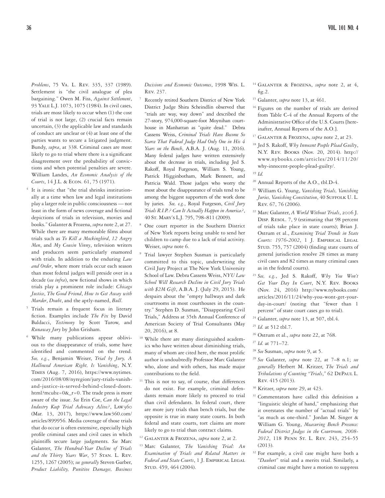*Problems*, 75 Va. L. Rev. 335, 337 (1989). Settlement is "the civil analogue of plea bargaining." Owen M. Fiss, *Against Settlement*, 93 Yale L.J. 1073, 1075 (1984). In civil cases, trials are most likely to occur when (1) the cost of trial is not large, (2) crucial facts remain uncertain, (3) the applicable law and standards of conduct are unclear or (4) at least one of the parties wants to secure a litigated judgment. Bundy, *supra*, at 338. Criminal cases are most likely to go to trial where there is a significant disagreement over the probability of convictions and when potential penalties are severe. William Landes, *An Economic Analysis of the Courts*, 14 J.L. & Econ. 61, 75 (1971).

- <sup>4</sup> It is ironic that "the trial shrinks institutionally at a time when law and legal institutions play a larger role in public consciousness — not least in the form of news coverage and fictional depictions of trials in television, movies and books." Galanter & Frozena, *supra* note 2, at 27. While there are many memorable films about trials such as *To Kill a Mockingbird*, *12 Angry Men*, and *My Cousin Vinny*, television writers and producers seem particularly enamored with trials. In addition to the enduring *Law and Order*, where more trials occur each season than most federal judges will preside over in a decade (*see infra*), new fictional shows in which trials play a prominent role include: *Chicago Justice*, *The Good Friend*, *How to Get Away with Murder*, *Doubt*, and the aptly-named, *Bull*.
- <sup>5</sup> Trials remain a frequent focus in literary fiction. Examples include *The Fix* by David Baldacci, *Testimony* by Scott Turow, and *Runaway Jury* by John Grisham.
- <sup>6</sup> While many publications appear oblivious to the disappearance of trials, some have identified and commented on the trend. *See, e.g.*, Benjamin Weiser, *Trial by Jury, A Hallowed American Right, Is Vanishing*, N.Y. Times (Aug. 7, 2016), https://www.nytimes. com/2016/08/08/nyregion/jury-trials-vanishand-justice-is-served-behind-closed-doors. html?mcubz= $0 & r=0$ . The trade press is more aware of the issue. *See* Erin Coe, *Can the Legal Industry Keep Trial Advocacy Alive?*, Law360 (Mar. 13, 2017), https://www.law360.com/ articles/899956. Media coverage of those trials that do occur is often extensive, especially high profile criminal cases and civil cases in which plaintiffs secure large judgments. *See* Marc Galanter, *The Hundred-Year Decline of Trials and the Thirty Years War*, 57 Stan. L. Rev. 1255, 1267 (2005); *see generally* Steven Garber, *Product Liability, Punitive Damages, Business*

*Decisions and Economic Outcomes*, 1998 Wis. L.  $R_{\text{EV}}$  237

- Recently retired Southern District of New York District Judge Shira Scheindlin observed that "trials are way, way down" and described the 27-story, 974,000-square-foot Moynihan courthouse in Manhattan as "quite dead." Debra Cassens Weiss, *Criminal Trials Have Become So Scarce That Federal Judge Had Only One in His 4 Years on the Bench*, A.B.A. J. (Aug. 11, 2016). Many federal judges have written extensively about the decrease in trials, including Jed S. Rakoff, Royal Furgeson, William S. Young, Patrick Higginbotham, Mark Bennett, and Patricia Wald. Those judges who worry the most about the disappearance of trials tend to be among the biggest supporters of the work done by juries. *See, e.g.*, Royal Furgeson, *Civil Jury Trials R.I.P.? Can It Actually Happen in America?*, 40 St. Mary's L.J. 795, 798–811 (2009).
- One court reporter in the Southern District of New York reports being unable to send her children to camp due to a lack of trial activity. Weiser, *supra* note 6.
- <sup>9</sup> Trial lawyer Stephen Susman is particularly committed to this topic, underwriting the Civil Jury Project at The New York University School of Law. Debra Cassens Weiss, *NYU Law School Will Research Decline in Civil Jury Trials with \$2M Gift*, A.B.A. J. (July 29, 2015). He despairs about the "empty hallways and dark courtrooms in most courthouses in the country." Stephen D. Susman, "Disappearing Civil Trials," Address at 35th Annual Conference of American Society of Trial Consultants (May 20, 2016), at 8.
- <sup>10</sup> While there are many distinguished academics who have written about diminishing trials, many of whom are cited here, the most prolific author is undoubtedly Professor Marc Galanter who, alone and with others, has made major contributions to the field.
- <sup>11</sup> This is not to say, of course, that differences do not exist. For example, criminal defendants remain more likely to proceed to trial than civil defendants. In federal court, there are more jury trials than bench trials, but the opposite is true in many state courts. In both federal and state courts, tort claims are more likely to go to trial than contract claims.
- <sup>12</sup> Galanter & Frozena, *supra* note 2, at 2.
- <sup>13</sup> Marc Galanter, *The Vanishing Trial: An Examination of Trials and Related Matters in Federal and State Courts*, 1 J. Empirical Legal STUD. 459, 464 (2004).
- <sup>14</sup> GALANTER & FROZENA, *supra* note 2, at 4,  $f_1g_2$ .
- <sup>15</sup> Galanter, *supra* note 13, at 461.
- <sup>16</sup> Figures on the number of trials are derived from Table C-4 of the Annual Reports of the Administrative Office of the U.S. Courts [hereinafter, Annual Reports of the A.O.].
- <sup>17</sup> GALANTER & FROZENA, *supra* note 2, at 23.
- <sup>18</sup> Jed S. Rakoff, *Why Innocent People Plead Guilty*, N.Y. Rev. Books (Nov. 20, 2014). http:// www.nybooks.com/articles/2014/11/20/ why-innocent-people-plead-guilty/.

- <sup>20</sup> Annual Reports of the A.O., tbl.D-4.
- <sup>21</sup> William G. Young, *Vanishing Trials, Vanishing*  Juries, Vanishing Constitution, 40 SUFFOLK U. L. Rev. 67, 76 (2006).
- <sup>22</sup> Marc Galanter, *A World Without Trials*, 2006 J. DISP. RESOL. 7, 9 (estimating that 98 percent of trials take place in state courts); Brian J. Ostrum et al., *Examining Trial Trends in State Courts: 1976-2002*, 1 J. Empirical Legal STUD. 755, 757 (2004) (finding state courts of general jurisdiction resolve 28 times as many civil cases and 82 times as many criminal cases as in the federal courts).
- <sup>23</sup> *See, e.g.*, Jed S. Rakoff, *Why You Won't Get Your Day In Court*, N.Y. Rev. Books (Nov. 24, 2016) http://www.nybooks.com/ articles/2016/11/24/why-you-wont-get-yourday-in-court/ (noting that "fewer than 1 percent" of state court cases go to trial).
- <sup>24</sup> Galanter, *supra* note 13, at 507, tbl.4.
- <sup>25</sup> *Id.* at 512 tbl.7.
- <sup>26</sup> Ostrum et al., *supra* note 22, at 768.
- <sup>27</sup> *Id.* at 771–72.
- <sup>28</sup> *See* Susman, *supra* note 9, at 5.
- <sup>29</sup> *See* Galanter, *supra* note 22, at 7–8 n.1; *see generally* Herbert M. Kritzer, *The Trials and Tribulations of Counting "Trials*,*"* 62 DePaul L. Rev. 415 (2013).
- <sup>30</sup> Kritzer, *supra* note 29, at 423.
- <sup>31</sup> Commentators have called this definition a "linguistic sleight of hand," emphasizing that it overstates the number of "actual trials" by "as much as one-third." Jordan M. Singer & William G. Young, *Measuring Bench Presence: Federal District Judges in the Courtroom, 2008- 2012*, 118 Penn St. L. Rev. 243, 254–55 (2013).
- <sup>32</sup> For example, a civil case might have both a "*Daubert*" trial and a merits trial. Similarly, a criminal case might have a motion to suppress

<sup>19</sup> *Id.*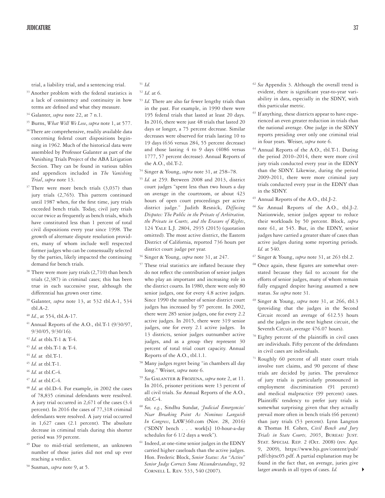trial, a liability trial, and a sentencing trial.

- <sup>33</sup> Another problem with the federal statistics is a lack of consistency and continuity in how terms are defined and what they measure.
- <sup>34</sup> Galanter, *supra* note 22, at 7 n.1.
- <sup>35</sup> Burns, *What Will We Lose*, *supra* note 1, at 577.
- <sup>36</sup> There are comprehensive, readily available data concerning federal court dispositions beginning in 1962. Much of the historical data were assembled by Professor Galanter as part of the Vanishing Trials Project of the ABA Litigation Section. They can be found in various tables and appendices included in *The Vanishing Trial*, *supra* note 13.
- $37$  There were more bench trials  $(3,037)$  than jury trials (2,765). This pattern continued until 1987 when, for the first time, jury trials exceeded bench trials. Today, civil jury trials occur twice as frequently as bench trials, which have constituted less than 1 percent of total civil dispositions every year since 1998. The growth of alternate dispute resolution providers, many of whom include well respected former judges who can be consensually selected by the parties, likely impacted the continuing demand for bench trials.
- $38$  There were more jury trials (2,710) than bench trials (2,387) in criminal cases; this has been true in each successive year, although the differential has grown over time.
- <sup>39</sup> Galanter, *supra* note 13, at 532 tbl.A-1, 534 tbl.A-2.
- <sup>40</sup> *Id.*, at 554, tbl.A-17.
- 41 Annual Reports of the A.O., tbl.T-1 (9/30/97, 9/30/05, 9/30/16).
- <sup>42</sup> *Id.* at tbls.T-1 & T-4.
- <sup>43</sup> *Id.* at tbls.T-1 & T-4.
- <sup>44</sup> *Id.* at tbl.T-1.
- <sup>45</sup> *Id.* at tbl.T-1.
- <sup>46</sup> *Id.* at tbl.C-4.
- <sup>47</sup> *Id.* at tbl.C-4.
- <sup>48</sup> *Id.* at tbl.D-4. For example, in 2002 the cases of 78,835 criminal defendants were resolved. A jury trial occurred in 2,671 of the cases (3.4 percent). In 2016 the cases of 77,318 criminal defendants were resolved. A jury trial occurred in 1,627 cases (2.1 percent). The absolute decrease in criminal trials during this shorter period was 39 percent.
- 49 Due to mid-trial settlement, an unknown number of those juries did not end up ever reaching a verdict.
- <sup>50</sup> Susman, *supra* note 9, at 5.
- <sup>51</sup> *Id.*
- <sup>52</sup> *Id*. at 6.
- <sup>53</sup> *Id.* There are also far fewer lengthy trials than in the past. For example, in 1990 there were 195 federal trials that lasted at least 20 days. In 2016, there were just 48 trials that lasted 20 days or longer, a 75 percent decrease. Similar decreases were observed for trials lasting 10 to 19 days (636 versus 284, 55 percent decrease) and those lasting 4 to 9 days (4086 versus 1777, 57 percent decrease). Annual Reports of the A.O., tbl.T-2.
- <sup>54</sup> Singer & Young, *supra* note 31, at 258–78.
- <sup>55</sup> *Id.* at 259. Between 2008 and 2013, district court judges "spent less than two hours a day on average in the courtroom, or about 423 hours of open court proceedings per active district judge." Judith Resnick, *Diffusing Disputes: The Public in the Private of Arbitration, the Private in Courts, and the Erasure of Rights*, 124 Yale L.J. 2804, 2935 (2015) (quotation omitted). The most active district, the Eastern District of California, reported 736 hours per district court judge per year.
- <sup>56</sup> Singer & Young, *supra* note 31, at 247.
- <sup>57</sup> These trial statistics are inflated because they do not reflect the contribution of senior judges who play an important and increasing role in the district courts. In 1980, there were only 80 senior judges, one for every 4.8 active judges. Since 1990 the number of senior district court judges has increased by 97 percent. In 2002, there were 285 senior judges, one for every 2.2 active judges. In 2015, there were 319 senior judges, one for every 2.1 active judges. In 13 districts, senior judges outnumber active judges, and as a group they represent 30 percent of total trial court capacity. Annual Reports of the A.O., tbl.1.1.
- <sup>58</sup> Many judges regret being "in chambers all day long." Weiser, *supra* note 6.
- <sup>59</sup> *See* Galanter & Frozena, *supra* note 2, at 11. In 2016, prisoner petitions were 13 percent of all civil trials. *See* Annual Reports of the A.O., tbl.C-4.
- <sup>60</sup> *See, e.g.*, Sindhu Sundar, *'Judicial Emergencies' Near Breaking Point As Nominees Languish In Congress*, LAW360.com (Nov. 28, 2016) ("SDNY bench . . . work[s] 10-hour-a-day schedules for 6 1/2 days a week").
- <sup>61</sup> Indeed, at one-time senior judges in the EDNY carried higher caseloads than the active judges. Hon. Frederic Block, *Senior Status: An "Active" Senior Judge Corrects Some Misunderstandings*, 92 Cornell L. Rev. 533, 540 (2007).
- <sup>62</sup> *See* Appendix 3. Although the overall trend is evident, there is significant year-to-year variability in data, especially in the SDNY, with this particular metric.
- <sup>63</sup> If anything, these districts appear to have experienced an even greater reduction in trials than the national average. One judge in the SDNY reports presiding over only one criminal trial in four years. Weiser, *supra* note 6.
- <sup>64</sup> Annual Reports of the A.O., tbl.T-1. During the period 2010–2014, there were more civil jury trials conducted every year in the EDNY than the SDNY. Likewise, during the period 2009-2011, there were more criminal jury trials conducted every year in the EDNY than in the SDNY.
- <sup>65</sup> Annual Reports of the A.O., tbl.J-2.
- <sup>66</sup> *See* Annual Reports of the A.O., tbl.J-2. Nationwide, senior judges appear to reduce their workloads by 50 percent. Block, *supra* note 61, at 545. But, in the EDNY, senior judges have carried a greater share of cases than active judges during some reporting periods. *Id.* at 540.
- <sup>67</sup> Singer & Young, *supra* note 31, at 263 tbl.2.
- <sup>68</sup> Once again, these figures are somewhat overstated because they fail to account for the efforts of senior judges, many of whom remain fully engaged despite having assumed a new status. *See supra* note 31.
- <sup>69</sup> Singer & Young, *supra* note 31, at 266, tbl.3 (providing that the judges in the Second Circuit record an average of 612.53 hours and the judges in the next highest circuit, the Seventh Circuit, average 476.07 hours).
- $70$  Eighty percent of the plaintiffs in civil cases are individuals. Fifty percent of the defendants in civil cases are individuals.
- <sup>71</sup> Roughly 60 percent of all state court trials involve tort claims, and 90 percent of these trials are decided by juries. The prevalence of jury trials is particularly pronounced in employment discrimination (91 percent) and medical malpractice (99 percent) cases. Plaintiffs' tendency to prefer jury trials is somewhat surprising given that they actually prevail more often in bench trials (66 percent) than jury trials (53 percent). Lynn Langton & Thomas H. Cohen, *Civil Bench and Jury Trials in State Courts, 2005*, Bureau Just. STAT. SPECIAL REP. 2 (Oct. 2008) (rev. Apr. 9, 2009), https://www.bjs.gov/content/pub/ pdf/cbjtsc05.pdf. A partial explanation may be found in the fact that, on average, juries give larger awards in all types of cases. *Id.*

 $\blacktriangleright$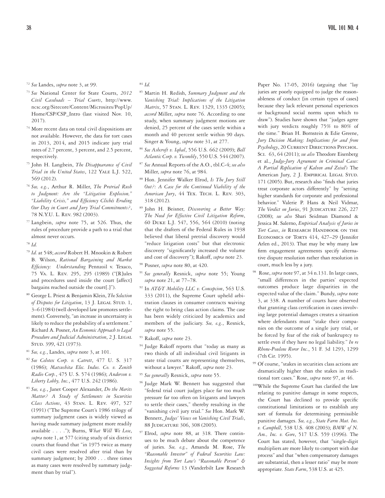- <sup>72</sup> *See* Landes, *supra* note 3, at 99.
- <sup>73</sup> *See* National Center for State Courts, *2012 Civil Caseloads – Trial Courts*, http://www. ncsc.org/Sitecore/Content/Microsites/PopUp/ Home/CSP/CSP\_Intro (last visited Nov. 10, 2017).
- <sup>74</sup> More recent data on total civil dispositions are not available. However, the data for tort cases in 2013, 2014, and 2015 indicate jury trial rates of 2.7 percent, 3 percent, and 2.5 percent, respectively.
- <sup>75</sup> John H. Langbein, *The Disappearance of Civil Trial in the United States*, 122 Yale L.J. 522, 569 (2012).
- <sup>76</sup> *See, e.g.*, Arthur R. Miller, *The Pretrial Rush to Judgment: Are the "Litigation Explosion," "Liability Crisis," and Efficiency Clichés Eroding Our Day in Court and Jury Trial Commitments?*, 78 N.Y.U. L. Rev. 982 (2003).
- <sup>77</sup> Langbein, *supra* note 75, at 526. Thus, the rules of procedure provide a path to a trial that almost never occurs.
- <sup>78</sup> *Id.*
- <sup>79</sup> *Id.* at 548; *accord* Robert H. Mnookin & Robert B. Wilson, *Rational Bargaining and Market Efficiency: Understanding* Pennzoil v. Texaco, 75 Va. L. Rev. 295, 295 (1989) ("[R]ules and procedures used inside the court [affect] bargains reached outside the court[.]").
- <sup>80</sup> George L. Priest & Benjamin Klein, *The Selection*  of Disputes for Litigation, 13 J. LEGAL STUD. 1, 3–6 (1984) (well developed law promotes settlement). Conversely, "an increase in uncertainty is likely to reduce the probability of a settlement." Richard A. Posner, *An Economic Approach to Legal Procedure and Judicial Administration*, 2 J. Legal STUD. 399, 421 (1973).
- <sup>81</sup> *See, e.g.*, Landes, *supra* note 3, at 101.
- <sup>82</sup> *See Celotex Corp. v. Catrett*, 477 U. S. 317 (1986); *Matsushita Elec. Indus. Co. v. Zenith Radio Corp.*, 475 U. S. 574 (1986); *Anderson v. Liberty Lobby, Inc.*, 477 U.S. 242 (1986).
- <sup>83</sup> *See, e.g.*, Janet Cooper Alexander, *Do the Merits Matter? A Study of Settlements in Securities Class Actions*, 43 Stan. L. Rev. 497, 527 (1991) ("The Supreme Court's 1986 trilogy of summary judgment cases is widely viewed as having made summary judgment more readily available . . . ."); Burns, *What Will We Lose*, *supra* note 1, at 577 (citing study of six district courts that found that "in 1975 twice as many civil cases were resolved after trial than by summary judgment; by 2000 . . . three times as many cases were resolved by summary judgment than by trial").
- <sup>84</sup> *Id.*
- <sup>85</sup> Martin H. Redish, *Summary Judgment and the Vanishing Trial: Implications of the Litigation Matrix*, 57 Stan. L. Rev. 1329, 1335 (2005); *accord* Miller, *supra* note 76. According to one study, when summary judgment motions are denied, 25 percent of the cases settle within a month and 40 percent settle within 90 days. Singer & Young, *supra* note 31, at 277.
- <sup>86</sup> *See Ashcroft v. Iqbal*, 556 U.S. 662 (2009); *Bell Atlantic Corp. v. Twombly*, 550 U.S. 544 (2007).
- <sup>87</sup> *See* Annual Reports of the A.O., tbl.C-4; *see also* Miller, *supra* note 76, at 984.
- <sup>88</sup> Hon. Jennifer Walker Elrod, *Is The Jury Still Out?: A Case for the Continued Viability of the American Jury*, 44 Tex. Tech. L. Rev. 303, 318 (2012).
- <sup>89</sup> John H. Beisner, *Discovering a Better Way: The Need for Effective Civil Litigation Reform*, 60 Duke L.J. 547, 556, 564 (2010) (noting that the drafters of the Federal Rules in 1938 believed that liberal pretrial discovery would "reduce litigation costs" but that electronic discovery "significantly increased the volume and cost of discovery"); Rakoff, *supra* note 23.
- <sup>90</sup> Posner, *supra* note 80, at 420.
- <sup>91</sup> *See generally* Resnick, *supra* note 55; Young *supra* note 21, at 77–78.
- <sup>92</sup> In *AT&T Mobility LLC v. Concepcion*, 563 U.S. 333 (2011), the Supreme Court upheld arbitration clauses in consumer contracts waiving the right to bring class action claims. The case has been widely criticized by academics and members of the judiciary. *See, e.g.*, Resnick, *supra* note 55.
- <sup>93</sup> Rakoff, *supra* note 23.
- <sup>94</sup> Judge Rakoff reports that "today as many as two thirds of all individual civil litigants in state trial courts are representing themselves, without a lawyer." Rakoff, *supra* note 23.
- <sup>95</sup> *See generally* Resnick, *supra* note 55.
- <sup>96</sup> Judge Mark W. Bennett has suggested that "federal trial court judges place far too much pressure far too often on litigants and lawyers to settle their cases," thereby resulting in the "vanishing civil jury trial." *See* Hon. Mark W. Bennett, *Judges' Views on Vanishing Civil Trials*, 88 Judicature 306, 308 (2005).
- <sup>97</sup> Elrod, *supra* note 88, at 318. There continues to be much debate about the competence of juries. *See, e.g.*, Amanda M. Rose, *The "Reasonable Investor" of Federal Securities Law: Insights from Tort Law's "Reasonable Person" & Suggested Reforms* 13 (Vanderbilt Law Research

Paper No. 17-05, 2016) (arguing that "lay juries are poorly equipped to judge the reasonableness of conduct [in certain types of cases] because they lack relevant personal experiences or background social norms upon which to draw"). Studies have shown that "judges agree with jury verdicts roughly 75% to 80% of the time." Brian H. Bornstein & Edie Greene, *Jury Decision Making: Implications for and from*  Psychology, 20 CURRENT DIRECTIONS PSYCHOL. Sci. 63, 64 (2011); *see also* Theodore Eisenberg et al., *Judge-Jury Agreement in Criminal Cases: A Partial Replication of Kalven and Zeisel's* The American Jury, 2 J. EMPIRICAL LEGAL STUD. 171 (2005). But, research also "finds that juries treat corporate actors differently" by "setting higher standards for corporate and professional behavior." Valerie P. Hans & Neil Vidmar, The Verdict on Juries, 91 JUDICATURE 226, 227 (2008); *see also* Shari Seidman Diamond & Jessica M. Salerno, *Empirical Analysis of Juries in Tort Cases*, *in* Research Handbook on the ECONOMICS OF TORTS 414, 427-29 (Jennifer Arlen ed., 2013). That may be why many law firm engagement agreements specify alternative dispute resolution rather than resolution in court, much less by a jury.

- Rose, *supra* note 97, at 34 n.131. In large cases, "small differences in the parties' expected outcomes produce large disparities in the expected value of the claim." Bundy, *supra* note 3, at 338. A number of courts have observed that granting class certification in cases involving large potential damages creates a situation where defendants must "stake their companies on the outcome of a single jury trial, or be forced by fear of the risk of bankruptcy to settle even if they have no legal liability." *In re Rhone-Poulene Rorer Inc.*, 51 F. 3d 1293, 1299 (7th Cir. 1995).
- <sup>99</sup> Of course, "stakes in securities class actions are dramatically higher than the stakes in traditional tort cases." Rose, *supra* note 97, at 46.
- 100While the Supreme Court has clarified the law relating to punitive damage in some respects, the Court has declined to provide specific constitutional limitations or to establish any sort of formula for determining permissible punitive damages. *See, e.g.*, *State Farm Mut. Ins. v. Campbell*, 538 U.S. 408 (2003); *BMW of N. Am., Inc. v. Gore*, 517 U.S. 559 (1996). The Court has stated, however, that "single-digit multipliers are more likely to comport with due process" and that "when compensatory damages are substantial, then a lesser ratio" may be more appropriate. *State Farm*, 538 U.S. at 425.